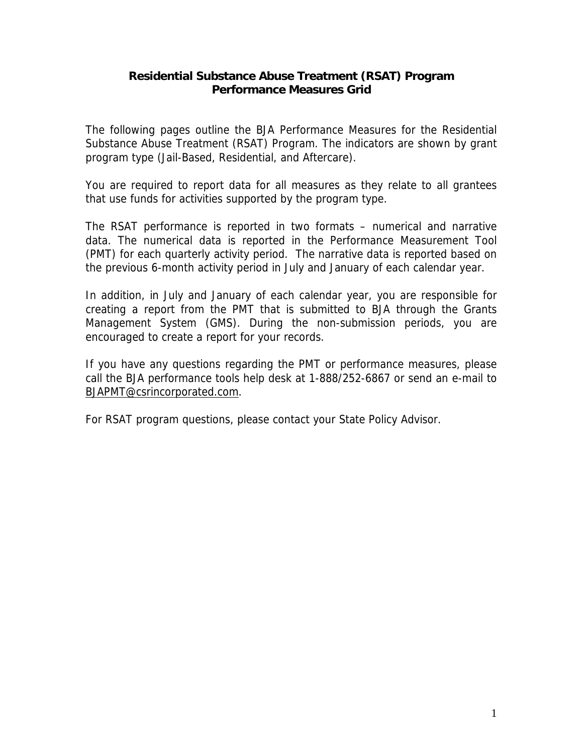#### **Residential Substance Abuse Treatment (RSAT) Program Performance Measures Grid**

The following pages outline the BJA Performance Measures for the Residential Substance Abuse Treatment (RSAT) Program. The indicators are shown by grant program type (Jail-Based, Residential, and Aftercare).

You are required to report data for all measures as they relate to all grantees that use funds for activities supported by the program type.

The RSAT performance is reported in two formats – numerical and narrative data. The numerical data is reported in the Performance Measurement Tool (PMT) for each quarterly activity period. The narrative data is reported based on the previous 6-month activity period in July and January of each calendar year.

In addition, in July and January of each calendar year, you are responsible for creating a report from the PMT that is submitted to BJA through the Grants Management System (GMS). During the non-submission periods, you are encouraged to create a report for your records.

If you have any questions regarding the PMT or performance measures, please call the BJA performance tools help desk at 1-888/252-6867 or send an e-mail to [BJAPMT@csrincorporated.com.](mailto:BJAPMT@csrincorporated.com)

For RSAT program questions, please contact your State Policy Advisor.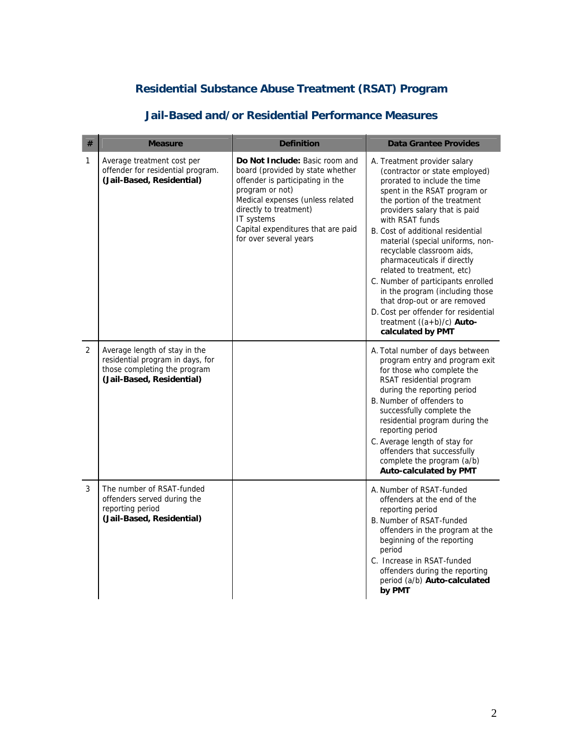# **Residential Substance Abuse Treatment (RSAT) Program**

| # | <b>Measure</b>                                                                                                                 | <b>Definition</b>                                                                                                                                                                                                                                                     | <b>Data Grantee Provides</b>                                                                                                                                                                                                                                                                                                                                                                                                                                                                                                                                                                |
|---|--------------------------------------------------------------------------------------------------------------------------------|-----------------------------------------------------------------------------------------------------------------------------------------------------------------------------------------------------------------------------------------------------------------------|---------------------------------------------------------------------------------------------------------------------------------------------------------------------------------------------------------------------------------------------------------------------------------------------------------------------------------------------------------------------------------------------------------------------------------------------------------------------------------------------------------------------------------------------------------------------------------------------|
| 1 | Average treatment cost per<br>offender for residential program.<br>(Jail-Based, Residential)                                   | Do Not Include: Basic room and<br>board (provided by state whether<br>offender is participating in the<br>program or not)<br>Medical expenses (unless related<br>directly to treatment)<br>IT systems<br>Capital expenditures that are paid<br>for over several years | A. Treatment provider salary<br>(contractor or state employed)<br>prorated to include the time<br>spent in the RSAT program or<br>the portion of the treatment<br>providers salary that is paid<br>with RSAT funds<br>B. Cost of additional residential<br>material (special uniforms, non-<br>recyclable classroom aids,<br>pharmaceuticals if directly<br>related to treatment, etc)<br>C. Number of participants enrolled<br>in the program (including those<br>that drop-out or are removed<br>D. Cost per offender for residential<br>treatment $((a+b)/c)$ Auto-<br>calculated by PMT |
| 2 | Average length of stay in the<br>residential program in days, for<br>those completing the program<br>(Jail-Based, Residential) |                                                                                                                                                                                                                                                                       | A. Total number of days between<br>program entry and program exit<br>for those who complete the<br>RSAT residential program<br>during the reporting period<br>B. Number of offenders to<br>successfully complete the<br>residential program during the<br>reporting period<br>C. Average length of stay for<br>offenders that successfully<br>complete the program (a/b)<br><b>Auto-calculated by PMT</b>                                                                                                                                                                                   |
| 3 | The number of RSAT-funded<br>offenders served during the<br>reporting period<br>(Jail-Based, Residential)                      |                                                                                                                                                                                                                                                                       | A. Number of RSAT-funded<br>offenders at the end of the<br>reporting period<br>B. Number of RSAT-funded<br>offenders in the program at the<br>beginning of the reporting<br>period<br>C. Increase in RSAT-funded<br>offenders during the reporting<br>period (a/b) Auto-calculated<br>by PMT                                                                                                                                                                                                                                                                                                |

## **Jail-Based and/or Residential Performance Measures**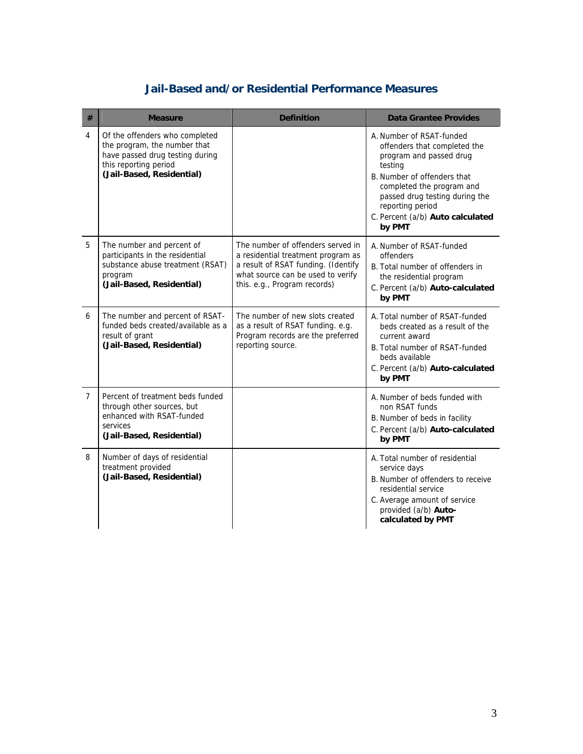## **Jail-Based and/or Residential Performance Measures**

| #              | <b>Measure</b>                                                                                                                                          | <b>Definition</b>                                                                                                                                                                   | <b>Data Grantee Provides</b>                                                                                                                                                                                                                                   |
|----------------|---------------------------------------------------------------------------------------------------------------------------------------------------------|-------------------------------------------------------------------------------------------------------------------------------------------------------------------------------------|----------------------------------------------------------------------------------------------------------------------------------------------------------------------------------------------------------------------------------------------------------------|
| 4              | Of the offenders who completed<br>the program, the number that<br>have passed drug testing during<br>this reporting period<br>(Jail-Based, Residential) |                                                                                                                                                                                     | A. Number of RSAT-funded<br>offenders that completed the<br>program and passed drug<br>testing<br>B. Number of offenders that<br>completed the program and<br>passed drug testing during the<br>reporting period<br>C. Percent (a/b) Auto calculated<br>by PMT |
| 5              | The number and percent of<br>participants in the residential<br>substance abuse treatment (RSAT)<br>program<br>(Jail-Based, Residential)                | The number of offenders served in<br>a residential treatment program as<br>a result of RSAT funding. (Identify<br>what source can be used to verify<br>this. e.g., Program records) | A. Number of RSAT-funded<br>offenders<br>B. Total number of offenders in<br>the residential program<br>C. Percent (a/b) Auto-calculated<br>by PMT                                                                                                              |
| 6              | The number and percent of RSAT-<br>funded beds created/available as a<br>result of grant<br>(Jail-Based, Residential)                                   | The number of new slots created<br>as a result of RSAT funding. e.g.<br>Program records are the preferred<br>reporting source.                                                      | A. Total number of RSAT-funded<br>beds created as a result of the<br>current award<br>B. Total number of RSAT-funded<br>beds available<br>C. Percent (a/b) Auto-calculated<br>by PMT                                                                           |
| $\overline{7}$ | Percent of treatment beds funded<br>through other sources, but<br>enhanced with RSAT-funded<br>services<br>(Jail-Based, Residential)                    |                                                                                                                                                                                     | A. Number of beds funded with<br>non RSAT funds<br>B. Number of beds in facility<br>C. Percent (a/b) Auto-calculated<br>by PMT                                                                                                                                 |
| 8              | Number of days of residential<br>treatment provided<br>(Jail-Based, Residential)                                                                        |                                                                                                                                                                                     | A. Total number of residential<br>service days<br>B. Number of offenders to receive<br>residential service<br>C. Average amount of service<br>provided (a/b) Auto-<br>calculated by PMT                                                                        |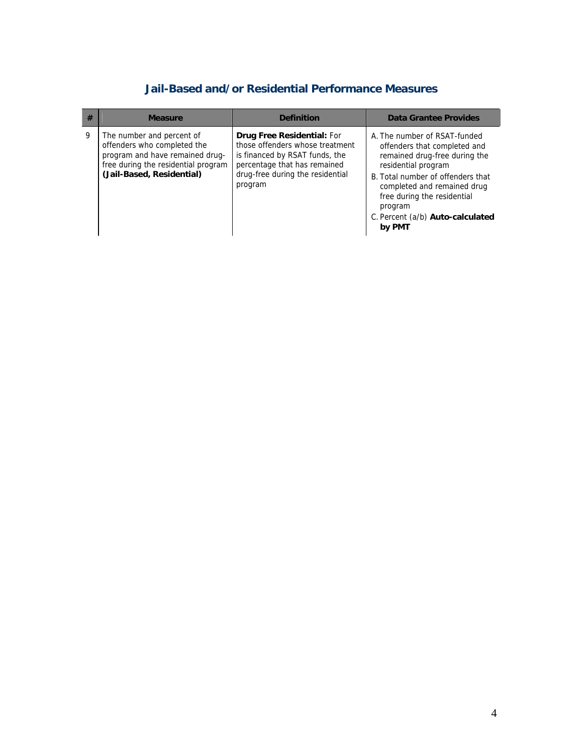## **Jail-Based and/or Residential Performance Measures**

| # | <b>Measure</b>                                                                                                                                                  | <b>Definition</b>                                                                                                                                                                     | Data Grantee Provides                                                                                                                                                                                                                                                            |
|---|-----------------------------------------------------------------------------------------------------------------------------------------------------------------|---------------------------------------------------------------------------------------------------------------------------------------------------------------------------------------|----------------------------------------------------------------------------------------------------------------------------------------------------------------------------------------------------------------------------------------------------------------------------------|
| 9 | The number and percent of<br>offenders who completed the<br>program and have remained drug-<br>free during the residential program<br>(Jail-Based, Residential) | <b>Drug Free Residential: For</b><br>those offenders whose treatment<br>is financed by RSAT funds, the<br>percentage that has remained<br>drug-free during the residential<br>program | A. The number of RSAT-funded<br>offenders that completed and<br>remained drug-free during the<br>residential program<br>B. Total number of offenders that<br>completed and remained drug<br>free during the residential<br>program<br>C. Percent (a/b) Auto-calculated<br>by PMT |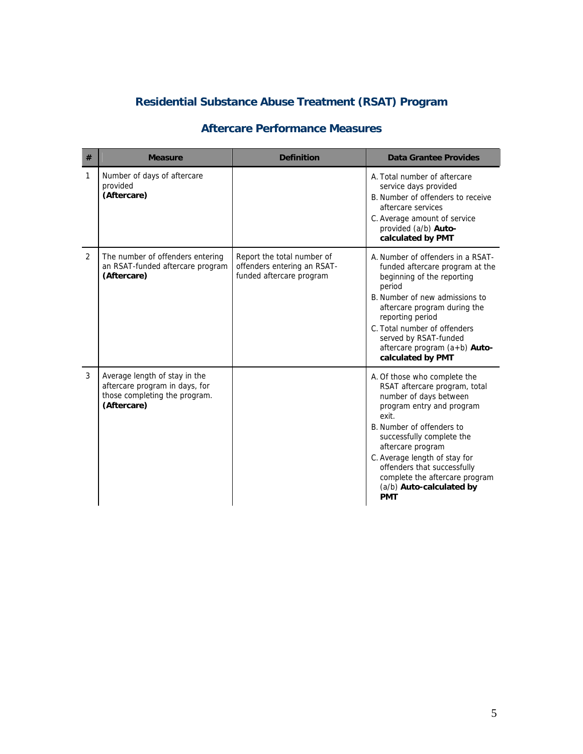# **Residential Substance Abuse Treatment (RSAT) Program**

#### **Aftercare Performance Measures**

| # | <b>Measure</b>                                                                                                  | <b>Definition</b>                                                                     | Data Grantee Provides                                                                                                                                                                                                                                                                                                                                    |
|---|-----------------------------------------------------------------------------------------------------------------|---------------------------------------------------------------------------------------|----------------------------------------------------------------------------------------------------------------------------------------------------------------------------------------------------------------------------------------------------------------------------------------------------------------------------------------------------------|
| 1 | Number of days of aftercare<br>provided<br>(Aftercare)                                                          |                                                                                       | A. Total number of aftercare<br>service days provided<br>B. Number of offenders to receive<br>aftercare services<br>C. Average amount of service<br>provided (a/b) Auto-<br>calculated by PMT                                                                                                                                                            |
| 2 | The number of offenders entering<br>an RSAT-funded aftercare program<br>(Aftercare)                             | Report the total number of<br>offenders entering an RSAT-<br>funded aftercare program | A. Number of offenders in a RSAT-<br>funded aftercare program at the<br>beginning of the reporting<br>period<br>B. Number of new admissions to<br>aftercare program during the<br>reporting period<br>C. Total number of offenders<br>served by RSAT-funded<br>aftercare program (a+b) Auto-<br>calculated by PMT                                        |
| 3 | Average length of stay in the<br>aftercare program in days, for<br>those completing the program.<br>(Aftercare) |                                                                                       | A. Of those who complete the<br>RSAT aftercare program, total<br>number of days between<br>program entry and program<br>exit.<br>B. Number of offenders to<br>successfully complete the<br>aftercare program<br>C. Average length of stay for<br>offenders that successfully<br>complete the aftercare program<br>(a/b) Auto-calculated by<br><b>PMT</b> |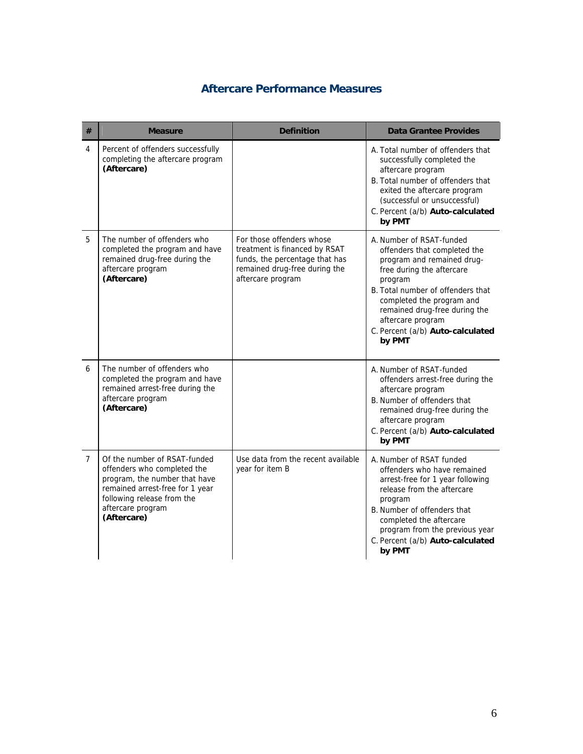### **Aftercare Performance Measures**

| #              | <b>Measure</b>                                                                                                                                                                                    | <b>Definition</b>                                                                                                                                  | <b>Data Grantee Provides</b>                                                                                                                                                                                                                                                                         |
|----------------|---------------------------------------------------------------------------------------------------------------------------------------------------------------------------------------------------|----------------------------------------------------------------------------------------------------------------------------------------------------|------------------------------------------------------------------------------------------------------------------------------------------------------------------------------------------------------------------------------------------------------------------------------------------------------|
| 4              | Percent of offenders successfully<br>completing the aftercare program<br>(Aftercare)                                                                                                              |                                                                                                                                                    | A. Total number of offenders that<br>successfully completed the<br>aftercare program<br>B. Total number of offenders that<br>exited the aftercare program<br>(successful or unsuccessful)<br>C. Percent (a/b) Auto-calculated<br>by PMT                                                              |
| 5              | The number of offenders who<br>completed the program and have<br>remained drug-free during the<br>aftercare program<br>(Aftercare)                                                                | For those offenders whose<br>treatment is financed by RSAT<br>funds, the percentage that has<br>remained drug-free during the<br>aftercare program | A. Number of RSAT-funded<br>offenders that completed the<br>program and remained drug-<br>free during the aftercare<br>program<br>B. Total number of offenders that<br>completed the program and<br>remained drug-free during the<br>aftercare program<br>C. Percent (a/b) Auto-calculated<br>by PMT |
| 6              | The number of offenders who<br>completed the program and have<br>remained arrest-free during the<br>aftercare program<br>(Aftercare)                                                              |                                                                                                                                                    | A. Number of RSAT-funded<br>offenders arrest-free during the<br>aftercare program<br>B. Number of offenders that<br>remained drug-free during the<br>aftercare program<br>C. Percent (a/b) Auto-calculated<br>by PMT                                                                                 |
| $\overline{7}$ | Of the number of RSAT-funded<br>offenders who completed the<br>program, the number that have<br>remained arrest-free for 1 year<br>following release from the<br>aftercare program<br>(Aftercare) | Use data from the recent available<br>year for item B                                                                                              | A. Number of RSAT funded<br>offenders who have remained<br>arrest-free for 1 year following<br>release from the aftercare<br>program<br>B. Number of offenders that<br>completed the aftercare<br>program from the previous year<br>C. Percent (a/b) Auto-calculated<br>by PMT                       |